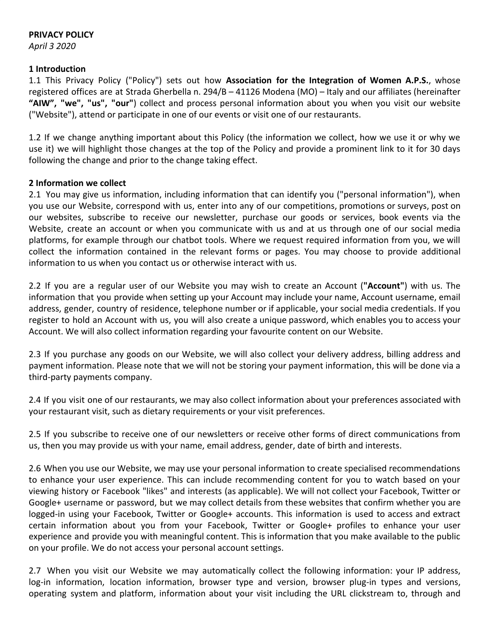# **PRIVACY POLICY**

*April 3 2020*

### **1 Introduction**

1.1 This Privacy Policy ("Policy") sets out how **Association for the Integration of Women A.P.S.**, whose registered offices are at Strada Gherbella n. 294/B – 41126 Modena (MO) – Italy and our affiliates (hereinafter **"AIW", "we", "us", "our"**) collect and process personal information about you when you visit our website ("Website"), attend or participate in one of our events or visit one of our restaurants.

1.2 If we change anything important about this Policy (the information we collect, how we use it or why we use it) we will highlight those changes at the top of the Policy and provide a prominent link to it for 30 days following the change and prior to the change taking effect.

### **2 Information we collect**

2.1 You may give us information, including information that can identify you ("personal information"), when you use our Website, correspond with us, enter into any of our competitions, promotions or surveys, post on our websites, subscribe to receive our newsletter, purchase our goods or services, book events via the Website, create an account or when you communicate with us and at us through one of our social media platforms, for example through our chatbot tools. Where we request required information from you, we will collect the information contained in the relevant forms or pages. You may choose to provide additional information to us when you contact us or otherwise interact with us.

2.2 If you are a regular user of our Website you may wish to create an Account (**"Account"**) with us. The information that you provide when setting up your Account may include your name, Account username, email address, gender, country of residence, telephone number or if applicable, your social media credentials. If you register to hold an Account with us, you will also create a unique password, which enables you to access your Account. We will also collect information regarding your favourite content on our Website.

2.3 If you purchase any goods on our Website, we will also collect your delivery address, billing address and payment information. Please note that we will not be storing your payment information, this will be done via a third-party payments company.

2.4 If you visit one of our restaurants, we may also collect information about your preferences associated with your restaurant visit, such as dietary requirements or your visit preferences.

2.5 If you subscribe to receive one of our newsletters or receive other forms of direct communications from us, then you may provide us with your name, email address, gender, date of birth and interests.

2.6 When you use our Website, we may use your personal information to create specialised recommendations to enhance your user experience. This can include recommending content for you to watch based on your viewing history or Facebook "likes" and interests (as applicable). We will not collect your Facebook, Twitter or Google+ username or password, but we may collect details from these websites that confirm whether you are logged-in using your Facebook, Twitter or Google+ accounts. This information is used to access and extract certain information about you from your Facebook, Twitter or Google+ profiles to enhance your user experience and provide you with meaningful content. This is information that you make available to the public on your profile. We do not access your personal account settings.

2.7 When you visit our Website we may automatically collect the following information: your IP address, log-in information, location information, browser type and version, browser plug-in types and versions, operating system and platform, information about your visit including the URL clickstream to, through and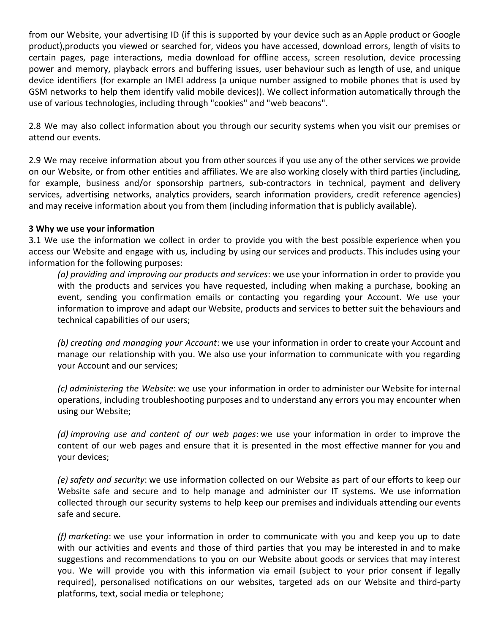from our Website, your advertising ID (if this is supported by your device such as an Apple product or Google product),products you viewed or searched for, videos you have accessed, download errors, length of visits to certain pages, page interactions, media download for offline access, screen resolution, device processing power and memory, playback errors and buffering issues, user behaviour such as length of use, and unique device identifiers (for example an IMEI address (a unique number assigned to mobile phones that is used by GSM networks to help them identify valid mobile devices)). We collect information automatically through the use of various technologies, including through "cookies" and "web beacons".

2.8 We may also collect information about you through our security systems when you visit our premises or attend our events.

2.9 We may receive information about you from other sources if you use any of the other services we provide on our Website, or from other entities and affiliates. We are also working closely with third parties (including, for example, business and/or sponsorship partners, sub-contractors in technical, payment and delivery services, advertising networks, analytics providers, search information providers, credit reference agencies) and may receive information about you from them (including information that is publicly available).

### **3 Why we use your information**

3.1 We use the information we collect in order to provide you with the best possible experience when you access our Website and engage with us, including by using our services and products. This includes using your information for the following purposes:

*(a) providing and improving our products and services*: we use your information in order to provide you with the products and services you have requested, including when making a purchase, booking an event, sending you confirmation emails or contacting you regarding your Account. We use your information to improve and adapt our Website, products and services to better suit the behaviours and technical capabilities of our users;

*(b) creating and managing your Account*: we use your information in order to create your Account and manage our relationship with you. We also use your information to communicate with you regarding your Account and our services;

*(c) administering the Website*: we use your information in order to administer our Website for internal operations, including troubleshooting purposes and to understand any errors you may encounter when using our Website;

*(d) improving use and content of our web pages*: we use your information in order to improve the content of our web pages and ensure that it is presented in the most effective manner for you and your devices;

*(e) safety and security*: we use information collected on our Website as part of our efforts to keep our Website safe and secure and to help manage and administer our IT systems. We use information collected through our security systems to help keep our premises and individuals attending our events safe and secure.

*(f) marketing*: we use your information in order to communicate with you and keep you up to date with our activities and events and those of third parties that you may be interested in and to make suggestions and recommendations to you on our Website about goods or services that may interest you. We will provide you with this information via email (subject to your prior consent if legally required), personalised notifications on our websites, targeted ads on our Website and third-party platforms, text, social media or telephone;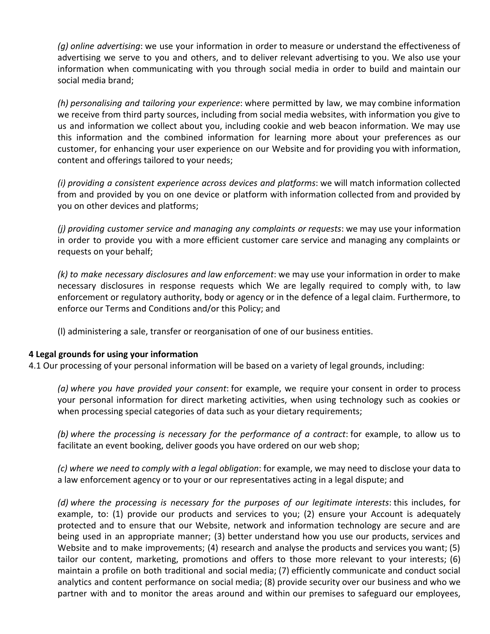*(g) online advertising*: we use your information in order to measure or understand the effectiveness of advertising we serve to you and others, and to deliver relevant advertising to you. We also use your information when communicating with you through social media in order to build and maintain our social media brand;

*(h) personalising and tailoring your experience*: where permitted by law, we may combine information we receive from third party sources, including from social media websites, with information you give to us and information we collect about you, including cookie and web beacon information. We may use this information and the combined information for learning more about your preferences as our customer, for enhancing your user experience on our Website and for providing you with information, content and offerings tailored to your needs;

*(i) providing a consistent experience across devices and platforms*: we will match information collected from and provided by you on one device or platform with information collected from and provided by you on other devices and platforms;

*(j) providing customer service and managing any complaints or requests*: we may use your information in order to provide you with a more efficient customer care service and managing any complaints or requests on your behalf;

*(k) to make necessary disclosures and law enforcement*: we may use your information in order to make necessary disclosures in response requests which We are legally required to comply with, to law enforcement or regulatory authority, body or agency or in the defence of a legal claim. Furthermore, to enforce our Terms and Conditions and/or this Policy; and

(l) administering a sale, transfer or reorganisation of one of our business entities.

### **4 Legal grounds for using your information**

4.1 Our processing of your personal information will be based on a variety of legal grounds, including:

*(a) where you have provided your consent*: for example, we require your consent in order to process your personal information for direct marketing activities, when using technology such as cookies or when processing special categories of data such as your dietary requirements;

*(b) where the processing is necessary for the performance of a contract*: for example, to allow us to facilitate an event booking, deliver goods you have ordered on our web shop;

*(c) where we need to comply with a legal obligation*: for example, we may need to disclose your data to a law enforcement agency or to your or our representatives acting in a legal dispute; and

*(d) where the processing is necessary for the purposes of our legitimate interests*: this includes, for example, to: (1) provide our products and services to you; (2) ensure your Account is adequately protected and to ensure that our Website, network and information technology are secure and are being used in an appropriate manner; (3) better understand how you use our products, services and Website and to make improvements; (4) research and analyse the products and services you want; (5) tailor our content, marketing, promotions and offers to those more relevant to your interests; (6) maintain a profile on both traditional and social media; (7) efficiently communicate and conduct social analytics and content performance on social media; (8) provide security over our business and who we partner with and to monitor the areas around and within our premises to safeguard our employees,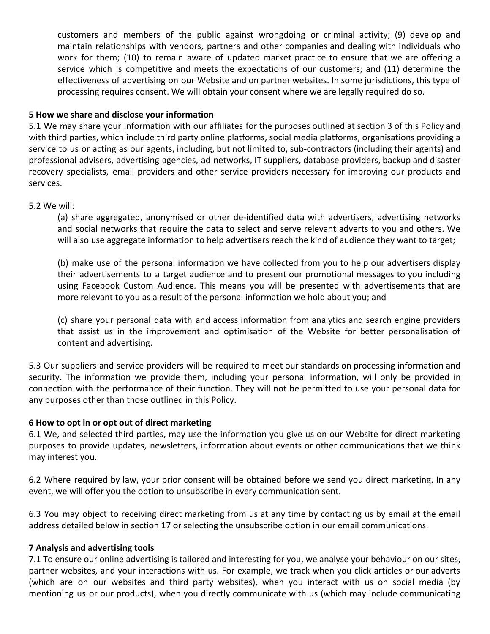customers and members of the public against wrongdoing or criminal activity; (9) develop and maintain relationships with vendors, partners and other companies and dealing with individuals who work for them; (10) to remain aware of updated market practice to ensure that we are offering a service which is competitive and meets the expectations of our customers; and (11) determine the effectiveness of advertising on our Website and on partner websites. In some jurisdictions, this type of processing requires consent. We will obtain your consent where we are legally required do so.

## **5 How we share and disclose your information**

5.1 We may share your information with our affiliates for the purposes outlined at section 3 of this Policy and with third parties, which include third party online platforms, social media platforms, organisations providing a service to us or acting as our agents, including, but not limited to, sub-contractors (including their agents) and professional advisers, advertising agencies, ad networks, IT suppliers, database providers, backup and disaster recovery specialists, email providers and other service providers necessary for improving our products and services.

### 5.2 We will:

(a) share aggregated, anonymised or other de-identified data with advertisers, advertising networks and social networks that require the data to select and serve relevant adverts to you and others. We will also use aggregate information to help advertisers reach the kind of audience they want to target;

(b) make use of the personal information we have collected from you to help our advertisers display their advertisements to a target audience and to present our promotional messages to you including using Facebook Custom Audience. This means you will be presented with advertisements that are more relevant to you as a result of the personal information we hold about you; and

(c) share your personal data with and access information from analytics and search engine providers that assist us in the improvement and optimisation of the Website for better personalisation of content and advertising.

5.3 Our suppliers and service providers will be required to meet our standards on processing information and security. The information we provide them, including your personal information, will only be provided in connection with the performance of their function. They will not be permitted to use your personal data for any purposes other than those outlined in this Policy.

### **6 How to opt in or opt out of direct marketing**

6.1 We, and selected third parties, may use the information you give us on our Website for direct marketing purposes to provide updates, newsletters, information about events or other communications that we think may interest you.

6.2 Where required by law, your prior consent will be obtained before we send you direct marketing. In any event, we will offer you the option to unsubscribe in every communication sent.

6.3 You may object to receiving direct marketing from us at any time by contacting us by email at the email address detailed below in section 17 or selecting the unsubscribe option in our email communications.

### **7 Analysis and advertising tools**

7.1 To ensure our online advertising is tailored and interesting for you, we analyse your behaviour on our sites, partner websites, and your interactions with us. For example, we track when you click articles or our adverts (which are on our websites and third party websites), when you interact with us on social media (by mentioning us or our products), when you directly communicate with us (which may include communicating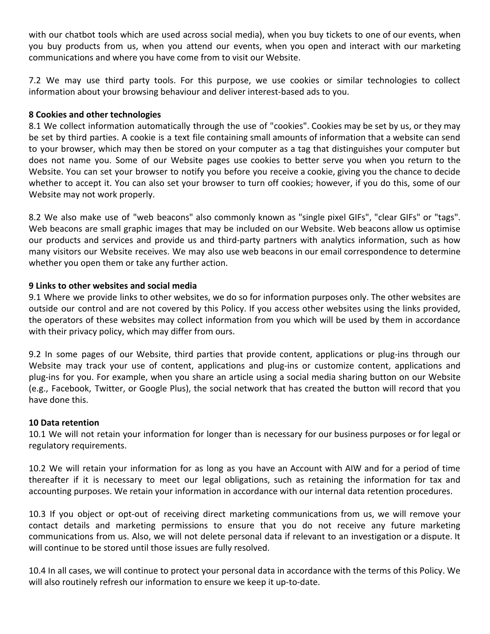with our chatbot tools which are used across social media), when you buy tickets to one of our events, when you buy products from us, when you attend our events, when you open and interact with our marketing communications and where you have come from to visit our Website.

7.2 We may use third party tools. For this purpose, we use cookies or similar technologies to collect information about your browsing behaviour and deliver interest-based ads to you.

### **8 Cookies and other technologies**

8.1 We collect information automatically through the use of "cookies". Cookies may be set by us, or they may be set by third parties. A cookie is a text file containing small amounts of information that a website can send to your browser, which may then be stored on your computer as a tag that distinguishes your computer but does not name you. Some of our Website pages use cookies to better serve you when you return to the Website. You can set your browser to notify you before you receive a cookie, giving you the chance to decide whether to accept it. You can also set your browser to turn off cookies; however, if you do this, some of our Website may not work properly.

8.2 We also make use of "web beacons" also commonly known as "single pixel GIFs", "clear GIFs" or "tags". Web beacons are small graphic images that may be included on our Website. Web beacons allow us optimise our products and services and provide us and third-party partners with analytics information, such as how many visitors our Website receives. We may also use web beacons in our email correspondence to determine whether you open them or take any further action.

## **9 Links to other websites and social media**

9.1 Where we provide links to other websites, we do so for information purposes only. The other websites are outside our control and are not covered by this Policy. If you access other websites using the links provided, the operators of these websites may collect information from you which will be used by them in accordance with their privacy policy, which may differ from ours.

9.2 In some pages of our Website, third parties that provide content, applications or plug-ins through our Website may track your use of content, applications and plug-ins or customize content, applications and plug-ins for you. For example, when you share an article using a social media sharing button on our Website (e.g., Facebook, Twitter, or Google Plus), the social network that has created the button will record that you have done this.

### **10 Data retention**

10.1 We will not retain your information for longer than is necessary for our business purposes or for legal or regulatory requirements.

10.2 We will retain your information for as long as you have an Account with AIW and for a period of time thereafter if it is necessary to meet our legal obligations, such as retaining the information for tax and accounting purposes. We retain your information in accordance with our internal data retention procedures.

10.3 If you object or opt-out of receiving direct marketing communications from us, we will remove your contact details and marketing permissions to ensure that you do not receive any future marketing communications from us. Also, we will not delete personal data if relevant to an investigation or a dispute. It will continue to be stored until those issues are fully resolved.

10.4 In all cases, we will continue to protect your personal data in accordance with the terms of this Policy. We will also routinely refresh our information to ensure we keep it up-to-date.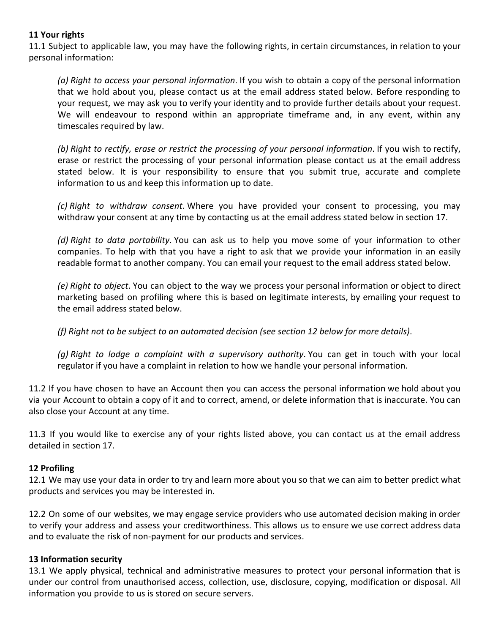# **11 Your rights**

11.1 Subject to applicable law, you may have the following rights, in certain circumstances, in relation to your personal information:

*(a) Right to access your personal information*. If you wish to obtain a copy of the personal information that we hold about you, please contact us at the email address stated below. Before responding to your request, we may ask you to verify your identity and to provide further details about your request. We will endeavour to respond within an appropriate timeframe and, in any event, within any timescales required by law.

*(b) Right to rectify, erase or restrict the processing of your personal information*. If you wish to rectify, erase or restrict the processing of your personal information please contact us at the email address stated below. It is your responsibility to ensure that you submit true, accurate and complete information to us and keep this information up to date.

*(c) Right to withdraw consent*. Where you have provided your consent to processing, you may withdraw your consent at any time by contacting us at the email address stated below in section 17.

*(d) Right to data portability*. You can ask us to help you move some of your information to other companies. To help with that you have a right to ask that we provide your information in an easily readable format to another company. You can email your request to the email address stated below.

*(e) Right to object*. You can object to the way we process your personal information or object to direct marketing based on profiling where this is based on legitimate interests, by emailing your request to the email address stated below.

*(f) Right not to be subject to an automated decision (see section 12 below for more details)*.

*(g) Right to lodge a complaint with a supervisory authority*. You can get in touch with your local regulator if you have a complaint in relation to how we handle your personal information.

11.2 If you have chosen to have an Account then you can access the personal information we hold about you via your Account to obtain a copy of it and to correct, amend, or delete information that is inaccurate. You can also close your Account at any time.

11.3 If you would like to exercise any of your rights listed above, you can contact us at the email address detailed in section 17.

### **12 Profiling**

12.1 We may use your data in order to try and learn more about you so that we can aim to better predict what products and services you may be interested in.

12.2 On some of our websites, we may engage service providers who use automated decision making in order to verify your address and assess your creditworthiness. This allows us to ensure we use correct address data and to evaluate the risk of non-payment for our products and services.

### **13 Information security**

13.1 We apply physical, technical and administrative measures to protect your personal information that is under our control from unauthorised access, collection, use, disclosure, copying, modification or disposal. All information you provide to us is stored on secure servers.